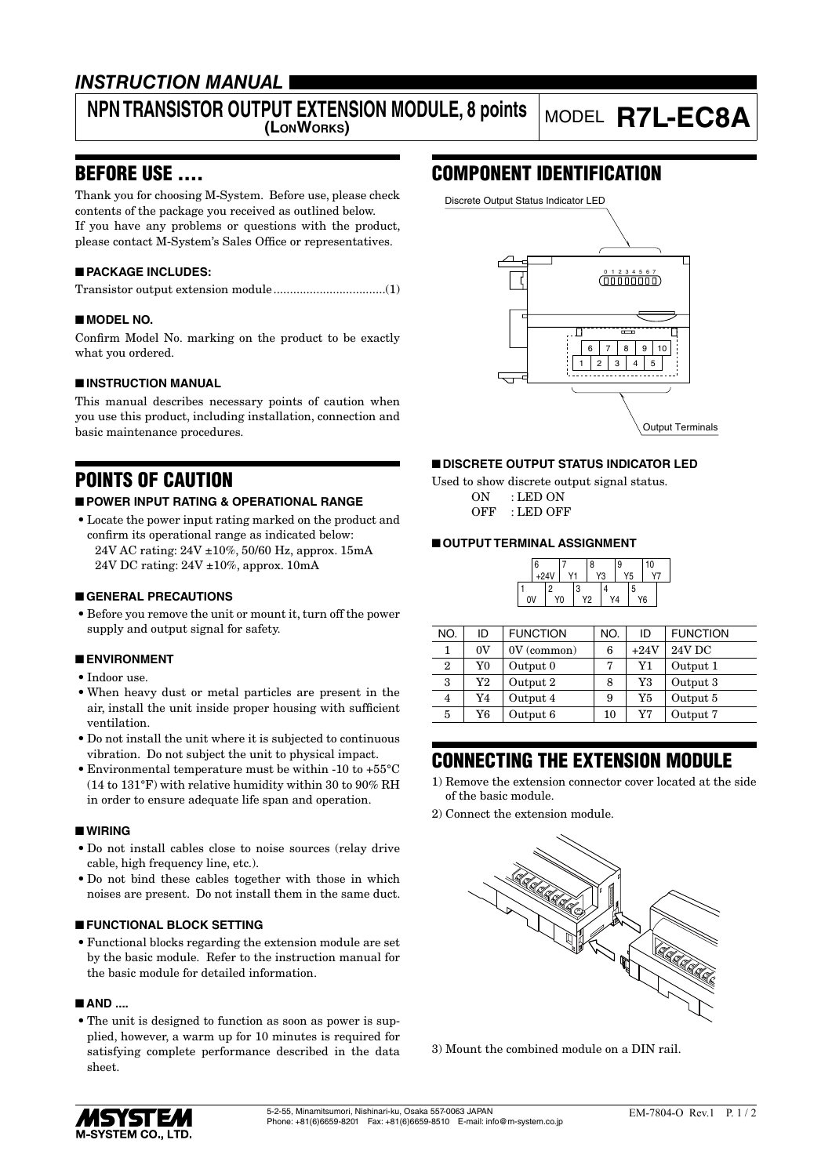## *INSTRUCTION MANUAL*

## **NPN TRANSISTOR OUTPUT EXTENSION MODULE, 8 points**

# **(LONWORKS)** MODEL **R7L-EC8A**

## BEFORE USE ....

Thank you for choosing M-System. Before use, please check contents of the package you received as outlined below. If you have any problems or questions with the product, please contact M-System's Sales Office or representatives.

#### ■ **PACKAGE INCLUDES:**

|--|--|

#### ■ **MODEL NO.**

Confirm Model No. marking on the product to be exactly what you ordered.

#### ■ **INSTRUCTION MANUAL**

This manual describes necessary points of caution when you use this product, including installation, connection and basic maintenance procedures.

## POINTS OF CAUTION

#### ■ **POWER INPUT RATING & OPERATIONAL RANGE**

• Locate the power input rating marked on the product and confirm its operational range as indicated below: 24V AC rating: 24V ±10%, 50/60 Hz, approx. 15mA 24V DC rating: 24V ±10%, approx. 10mA

#### ■ **GENERAL PRECAUTIONS**

• Before you remove the unit or mount it, turn off the power supply and output signal for safety.

#### ■ **ENVIRONMENT**

- Indoor use.
- When heavy dust or metal particles are present in the air, install the unit inside proper housing with sufficient ventilation.
- Do not install the unit where it is subjected to continuous vibration. Do not subject the unit to physical impact.
- Environmental temperature must be within -10 to +55°C (14 to 131°F) with relative humidity within 30 to 90% RH in order to ensure adequate life span and operation.

#### ■ **WIRING**

- Do not install cables close to noise sources (relay drive cable, high frequency line, etc.).
- Do not bind these cables together with those in which noises are present. Do not install them in the same duct.

#### ■ **FUNCTIONAL BLOCK SETTING**

• Functional blocks regarding the extension module are set by the basic module. Refer to the instruction manual for the basic module for detailed information.

#### ■ **AND** ....

• The unit is designed to function as soon as power is supplied, however, a warm up for 10 minutes is required for satisfying complete performance described in the data sheet.

## COMPONENT IDENTIFICATION



#### ■ **DISCRETE OUTPUT STATUS INDICATOR LED**

Used to show discrete output signal status. ON : LED ON OFF : LED OFF

#### ■ **OUTPUT TERMINAL ASSIGNMENT**



| NO.          | ID       | <b>FUNCTION</b> | NO. | ID     | <b>FUNCTION</b> |
|--------------|----------|-----------------|-----|--------|-----------------|
|              | 0V       | $0V$ (common)   | 6   | $+24V$ | 24V DC          |
| $\mathbf{2}$ | Y0       | Output 0        | 7   | Y1     | Output 1        |
| 3            | $\rm Y2$ | Output 2        | 8   | Y3     | Output 3        |
| 4            | Y4       | Output 4        | 9   | Y5     | Output 5        |
| 5            | Y6       | Output 6        | 10  | Y7     | Output 7        |

## CONNECTING THE EXTENSION MODULE

- 1) Remove the extension connector cover located at the side of the basic module.
- 2) Connect the extension module.



3) Mount the combined module on a DIN rail.